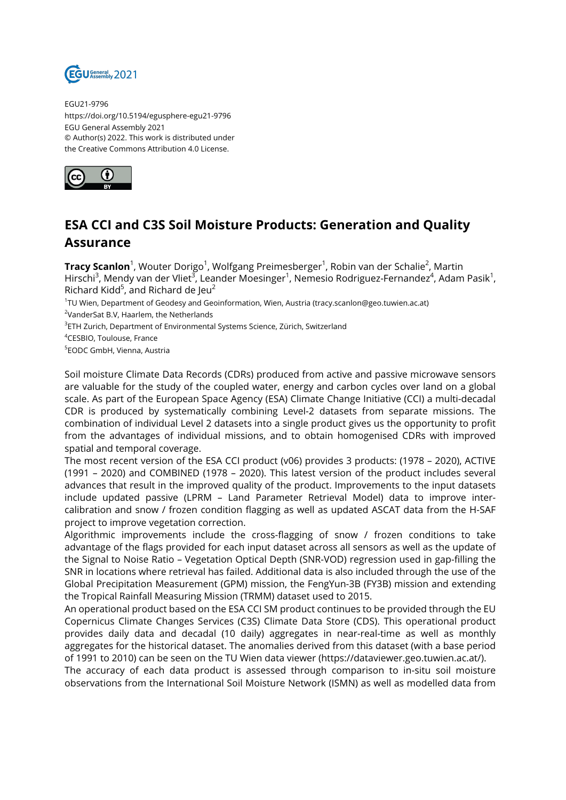

EGU21-9796 https://doi.org/10.5194/egusphere-egu21-9796 EGU General Assembly 2021 © Author(s) 2022. This work is distributed under the Creative Commons Attribution 4.0 License.



## **ESA CCI and C3S Soil Moisture Products: Generation and Quality Assurance**

**Tracy Scanlon**<sup>1</sup>, Wouter Dorigo<sup>1</sup>, Wolfgang Preimesberger<sup>1</sup>, Robin van der Schalie<sup>2</sup>, Martin Hirschi<sup>3</sup>, Mendy van der Vliet<sup>3</sup>, Leander Moesinger<sup>1</sup>, Nemesio Rodriguez-Fernandez<sup>4</sup>, Adam Pasik<sup>1</sup>, Richard Kidd $^5$ , and Richard de Jeu $^2$ 

1 TU Wien, Department of Geodesy and Geoinformation, Wien, Austria (tracy.scanlon@geo.tuwien.ac.at)

<sup>2</sup>VanderSat B.V, Haarlem, the Netherlands

 $^3$ ETH Zurich, Department of Environmental Systems Science, Zürich, Switzerland

<sup>4</sup>CESBIO, Toulouse, France

5 EODC GmbH, Vienna, Austria

Soil moisture Climate Data Records (CDRs) produced from active and passive microwave sensors are valuable for the study of the coupled water, energy and carbon cycles over land on a global scale. As part of the European Space Agency (ESA) Climate Change Initiative (CCI) a multi-decadal CDR is produced by systematically combining Level-2 datasets from separate missions. The combination of individual Level 2 datasets into a single product gives us the opportunity to profit from the advantages of individual missions, and to obtain homogenised CDRs with improved spatial and temporal coverage.

The most recent version of the ESA CCI product (v06) provides 3 products: (1978 – 2020), ACTIVE (1991 – 2020) and COMBINED (1978 – 2020). This latest version of the product includes several advances that result in the improved quality of the product. Improvements to the input datasets include updated passive (LPRM – Land Parameter Retrieval Model) data to improve intercalibration and snow / frozen condition flagging as well as updated ASCAT data from the H-SAF project to improve vegetation correction.

Algorithmic improvements include the cross-flagging of snow / frozen conditions to take advantage of the flags provided for each input dataset across all sensors as well as the update of the Signal to Noise Ratio – Vegetation Optical Depth (SNR-VOD) regression used in gap-filling the SNR in locations where retrieval has failed. Additional data is also included through the use of the Global Precipitation Measurement (GPM) mission, the FengYun-3B (FY3B) mission and extending the Tropical Rainfall Measuring Mission (TRMM) dataset used to 2015.

An operational product based on the ESA CCI SM product continues to be provided through the EU Copernicus Climate Changes Services (C3S) Climate Data Store (CDS). This operational product provides daily data and decadal (10 daily) aggregates in near-real-time as well as monthly aggregates for the historical dataset. The anomalies derived from this dataset (with a base period of 1991 to 2010) can be seen on the TU Wien data viewer (https://dataviewer.geo.tuwien.ac.at/).

The accuracy of each data product is assessed through comparison to in-situ soil moisture observations from the International Soil Moisture Network (ISMN) as well as modelled data from